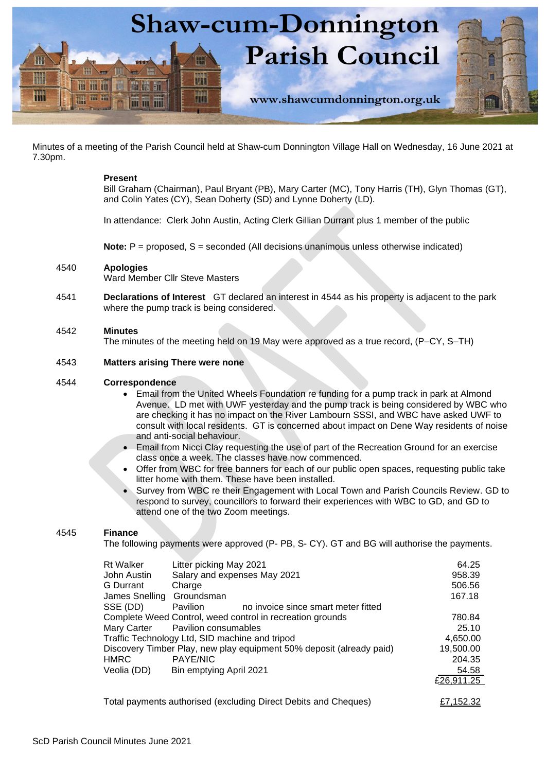

Minutes of a meeting of the Parish Council held at Shaw-cum Donnington Village Hall on Wednesday, 16 June 2021 at 7.30pm.

## **Present**

Bill Graham (Chairman), Paul Bryant (PB), Mary Carter (MC), Tony Harris (TH), Glyn Thomas (GT), and Colin Yates (CY), Sean Doherty (SD) and Lynne Doherty (LD).

In attendance: Clerk John Austin, Acting Clerk Gillian Durrant plus 1 member of the public

**Note:**  $P =$  proposed, S = seconded (All decisions unanimous unless otherwise indicated)

## 4540 **Apologies**

Ward Member Cllr Steve Masters

4541 **Declarations of Interest** GT declared an interest in 4544 as his property is adjacent to the park where the pump track is being considered.

## 4542 **Minutes**

The minutes of the meeting held on 19 May were approved as a true record, (P–CY, S–TH)

## 4543 **Matters arising There were none**

## 4544 **Correspondence**

- Email from the United Wheels Foundation re funding for a pump track in park at Almond Avenue. LD met with UWF yesterday and the pump track is being considered by WBC who are checking it has no impact on the River Lambourn SSSI, and WBC have asked UWF to consult with local residents. GT is concerned about impact on Dene Way residents of noise and anti-social behaviour.
- Email from Nicci Clay requesting the use of part of the Recreation Ground for an exercise class once a week. The classes have now commenced.
- Offer from WBC for free banners for each of our public open spaces, requesting public take litter home with them. These have been installed.
- Survey from WBC re their Engagement with Local Town and Parish Councils Review. GD to respond to survey, councillors to forward their experiences with WBC to GD, and GD to attend one of the two Zoom meetings.

# 4545 **Finance**

The following payments were approved (P- PB, S- CY). GT and BG will authorise the payments.

| <b>Rt Walker</b>          | Litter picking May 2021                                              | 64.25      |
|---------------------------|----------------------------------------------------------------------|------------|
| John Austin               | Salary and expenses May 2021                                         | 958.39     |
| <b>G</b> Durrant          | Charge                                                               | 506.56     |
| James Snelling Groundsman |                                                                      | 167.18     |
| SSE (DD)                  | Pavilion<br>no invoice since smart meter fitted                      |            |
|                           | Complete Weed Control, weed control in recreation grounds            | 780.84     |
| Mary Carter               | Pavilion consumables                                                 | 25.10      |
|                           | Traffic Technology Ltd, SID machine and tripod                       | 4,650.00   |
|                           | Discovery Timber Play, new play equipment 50% deposit (already paid) | 19,500.00  |
| <b>HMRC</b>               | PAYE/NIC                                                             | 204.35     |
| Veolia (DD)               | Bin emptying April 2021                                              | 54.58      |
|                           |                                                                      | £26,911.25 |
|                           |                                                                      |            |

Total payments authorised (excluding Direct Debits and Cheques)  $E7,152.32$